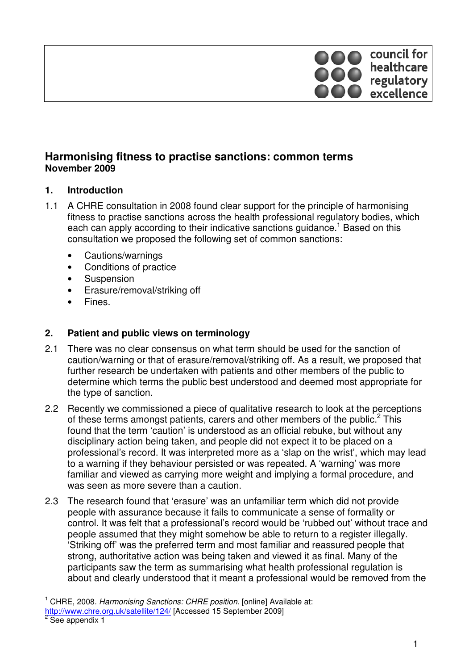

# **Harmonising fitness to practise sanctions: common terms November 2009**

### **1. Introduction**

- 1.1 A CHRE consultation in 2008 found clear support for the principle of harmonising fitness to practise sanctions across the health professional regulatory bodies, which each can apply according to their indicative sanctions guidance.<sup>1</sup> Based on this consultation we proposed the following set of common sanctions:
	- Cautions/warnings
	- Conditions of practice
	- Suspension
	- Erasure/removal/striking off
	- **Fines**

### **2. Patient and public views on terminology**

- 2.1 There was no clear consensus on what term should be used for the sanction of caution/warning or that of erasure/removal/striking off. As a result, we proposed that further research be undertaken with patients and other members of the public to determine which terms the public best understood and deemed most appropriate for the type of sanction.
- 2.2 Recently we commissioned a piece of qualitative research to look at the perceptions of these terms amongst patients, carers and other members of the public. $2$  This found that the term 'caution' is understood as an official rebuke, but without any disciplinary action being taken, and people did not expect it to be placed on a professional's record. It was interpreted more as a 'slap on the wrist', which may lead to a warning if they behaviour persisted or was repeated. A 'warning' was more familiar and viewed as carrying more weight and implying a formal procedure, and was seen as more severe than a caution.
- 2.3 The research found that 'erasure' was an unfamiliar term which did not provide people with assurance because it fails to communicate a sense of formality or control. It was felt that a professional's record would be 'rubbed out' without trace and people assumed that they might somehow be able to return to a register illegally. 'Striking off' was the preferred term and most familiar and reassured people that strong, authoritative action was being taken and viewed it as final. Many of the participants saw the term as summarising what health professional regulation is about and clearly understood that it meant a professional would be removed from the

 $\overline{1}$ 1 CHRE, 2008. Harmonising Sanctions: CHRE position. [online] Available at:

http://www.chre.org.uk/satellite/124/ [Accessed 15 September 2009]

<sup>&</sup>lt;sup>2</sup> See appendix 1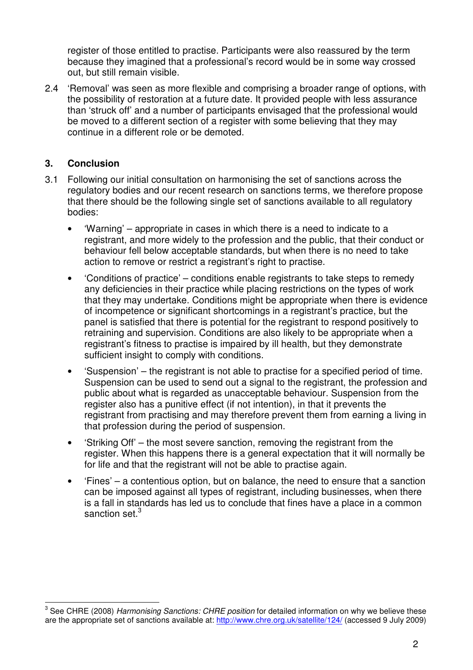register of those entitled to practise. Participants were also reassured by the term because they imagined that a professional's record would be in some way crossed out, but still remain visible.

2.4 'Removal' was seen as more flexible and comprising a broader range of options, with the possibility of restoration at a future date. It provided people with less assurance than 'struck off' and a number of participants envisaged that the professional would be moved to a different section of a register with some believing that they may continue in a different role or be demoted.

### **3. Conclusion**

- 3.1 Following our initial consultation on harmonising the set of sanctions across the regulatory bodies and our recent research on sanctions terms, we therefore propose that there should be the following single set of sanctions available to all regulatory bodies:
	- 'Warning' appropriate in cases in which there is a need to indicate to a registrant, and more widely to the profession and the public, that their conduct or behaviour fell below acceptable standards, but when there is no need to take action to remove or restrict a registrant's right to practise.
	- 'Conditions of practice' conditions enable registrants to take steps to remedy any deficiencies in their practice while placing restrictions on the types of work that they may undertake. Conditions might be appropriate when there is evidence of incompetence or significant shortcomings in a registrant's practice, but the panel is satisfied that there is potential for the registrant to respond positively to retraining and supervision. Conditions are also likely to be appropriate when a registrant's fitness to practise is impaired by ill health, but they demonstrate sufficient insight to comply with conditions.
	- 'Suspension' the registrant is not able to practise for a specified period of time. Suspension can be used to send out a signal to the registrant, the profession and public about what is regarded as unacceptable behaviour. Suspension from the register also has a punitive effect (if not intention), in that it prevents the registrant from practising and may therefore prevent them from earning a living in that profession during the period of suspension.
	- 'Striking Off' the most severe sanction, removing the registrant from the register. When this happens there is a general expectation that it will normally be for life and that the registrant will not be able to practise again.
	- 'Fines' a contentious option, but on balance, the need to ensure that a sanction can be imposed against all types of registrant, including businesses, when there is a fall in standards has led us to conclude that fines have a place in a common sanction set.<sup>3</sup>

 3 See CHRE (2008) Harmonising Sanctions: CHRE position for detailed information on why we believe these are the appropriate set of sanctions available at: http://www.chre.org.uk/satellite/124/ (accessed 9 July 2009)